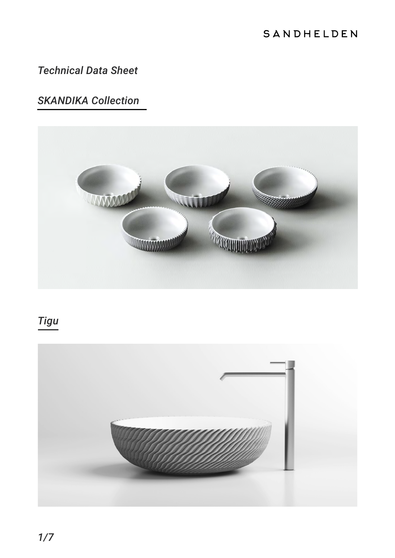### SANDHELDEN

### *Technical Data Sheet*

### *SKANDIKA Collection*



# *Tigu*

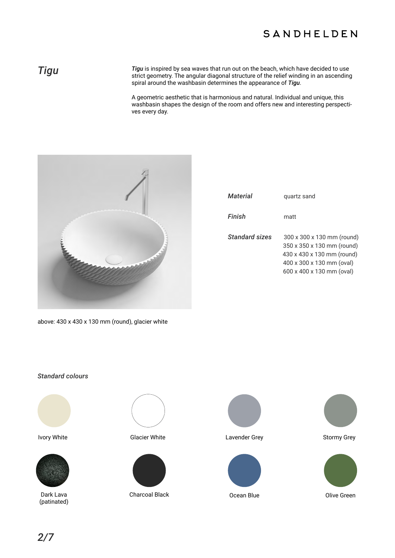### SANDHELDEN

**Tigu Tigu** is inspired by sea waves that run out on the beach, which have decided to use<br>strict geometry. The angular diagonal structure of the relief winding in an ascending strict geometry. The angular diagonal structure of the relief winding in an ascending spiral around the washbasin determines the appearance of *Tigu*.

> A geometric aesthetic that is harmonious and natural. Individual and unique, this washbasin shapes the design of the room and offers new and interesting perspectives every day.



| <i><b>Material</b></i> | quartz sand                                                                                                                                      |
|------------------------|--------------------------------------------------------------------------------------------------------------------------------------------------|
| Finish                 | matt                                                                                                                                             |
| Standard sizes         | 300 x 300 x 130 mm (round)<br>350 x 350 x 130 mm (round)<br>430 x 430 x 130 mm (round)<br>400 x 300 x 130 mm (oval)<br>600 x 400 x 130 mm (oval) |

above: 430 x 430 x 130 mm (round), glacier white

### *Standard colours*





Dark Lava (patinated)







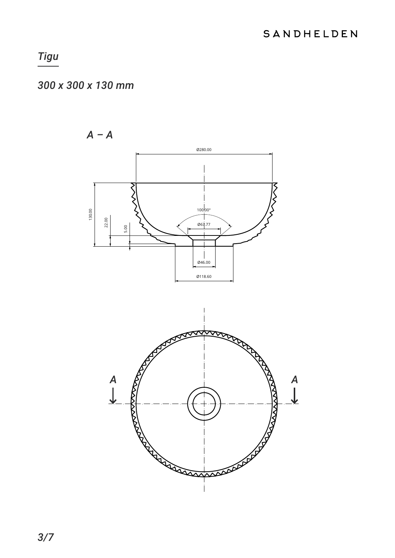### 300 x 300 x 130 mm

 $A - A$ 



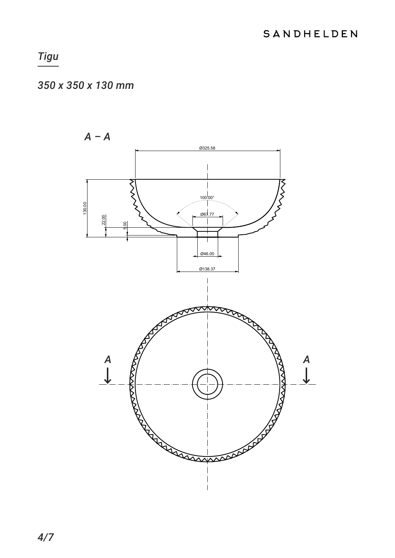### 350 x 350 x 130 mm

 $A - A$ 0325.58 RNS  $100^{100}$ 130.00 067.77  $22.00$ Ø46.00 Ø138.37  $\overline{A}$  $\begin{array}{c}\nA \\
L\n\end{array}$ **Representative** RAAN Margaret Harry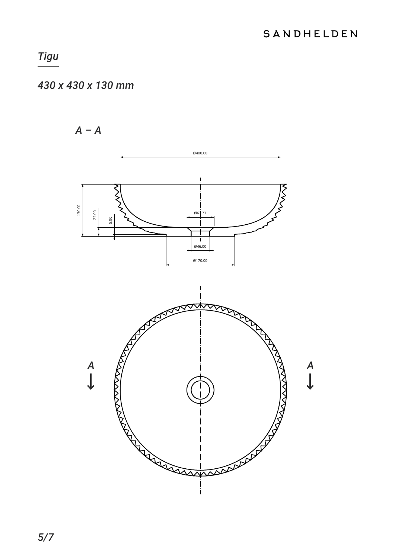## 430 x 430 x 130 mm

 $A - A$ 

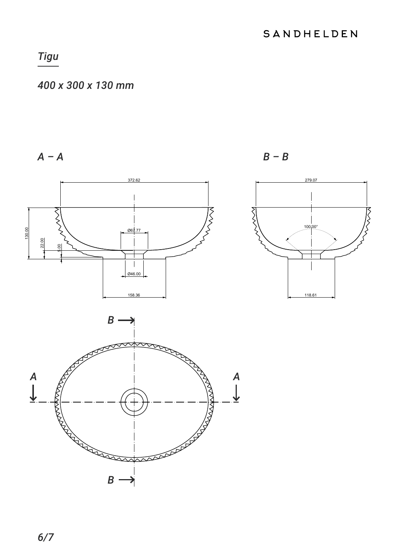### 400 x 300 x 130 mm

 $A - A$